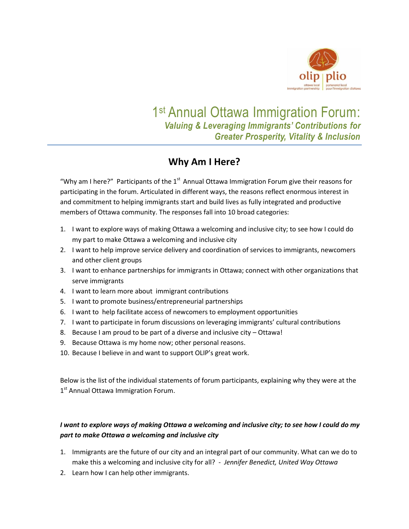

# 1<sup>st</sup> Annual Ottawa Immigration Forum: *Valuing & Leveraging Immigrants' Contributions for Greater Prosperity, Vitality & Inclusion*

## **Why Am I Here?**

"Why am I here?" Participants of the  $1<sup>st</sup>$  Annual Ottawa Immigration Forum give their reasons for participating in the forum. Articulated in different ways, the reasons reflect enormous interest in and commitment to helping immigrants start and build lives as fully integrated and productive members of Ottawa community. The responses fall into 10 broad categories:

- 1. I want to explore ways of making Ottawa a welcoming and inclusive city; to see how I could do my part to make Ottawa a welcoming and inclusive city
- 2. I want to help improve service delivery and coordination of services to immigrants, newcomers and other client groups
- 3. I want to enhance partnerships for immigrants in Ottawa; connect with other organizations that serve immigrants
- 4. I want to learn more about immigrant contributions
- 5. I want to promote business/entrepreneurial partnerships
- 6. I want to help facilitate access of newcomers to employment opportunities
- 7. I want to participate in forum discussions on leveraging immigrants' cultural contributions
- 8. Because I am proud to be part of a diverse and inclusive city Ottawa!
- 9. Because Ottawa is my home now; other personal reasons.
- 10. Because I believe in and want to support OLIP's great work.

Below is the list of the individual statements of forum participants, explaining why they were at the 1<sup>st</sup> Annual Ottawa Immigration Forum.

## *I want to explore ways of making Ottawa a welcoming and inclusive city; to see how I could do my part to make Ottawa a welcoming and inclusive city*

- 1. Immigrants are the future of our city and an integral part of our community. What can we do to make this a welcoming and inclusive city for all? - *Jennifer Benedict, United Way Ottawa*
- 2. Learn how I can help other immigrants.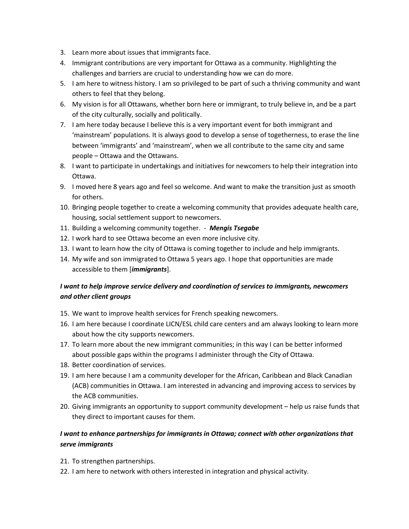- 3. Learn more about issues that immigrants face.
- 4. Immigrant contributions are very important for Ottawa as a community. Highlighting the challenges and barriers are crucial to understanding how we can do more.
- 5. I am here to witness history. I am so privileged to be part of such a thriving community and want others to feel that they belong.
- 6. My vision is for all Ottawans, whether born here or immigrant, to truly believe in, and be a part of the city culturally, socially and politically.
- 7. I am here today because I believe this is a very important event for both immigrant and 'mainstream' populations. It is always good to develop a sense of togetherness, to erase the line between 'immigrants' and 'mainstream', when we all contribute to the same city and same people – Ottawa and the Ottawans.
- 8. I want to participate in undertakings and initiatives for newcomers to help their integration into Ottawa.
- 9. I moved here 8 years ago and feel so welcome. And want to make the transition just as smooth for others.
- 10. Bringing people together to create a welcoming community that provides adequate health care, housing, social settlement support to newcomers.
- 11. Building a welcoming community together. *Mengis Tsegabe*
- 12. I work hard to see Ottawa become an even more inclusive city.
- 13. I want to learn how the city of Ottawa is coming together to include and help immigrants.
- 14. My wife and son immigrated to Ottawa 5 years ago. I hope that opportunities are made accessible to them [*immigrants*].

## *I want to help improve service delivery and coordination of services to immigrants, newcomers and other client groups*

- 15. We want to improve health services for French speaking newcomers.
- 16. I am here because I coordinate LICN/ESL child care centers and am always looking to learn more about how the city supports newcomers.
- 17. To learn more about the new immigrant communities; in this way I can be better informed about possible gaps within the programs I administer through the City of Ottawa.
- 18. Better coordination of services.
- 19. I am here because I am a community developer for the African, Caribbean and Black Canadian (ACB) communities in Ottawa. I am interested in advancing and improving access to services by the ACB communities.
- 20. Giving immigrants an opportunity to support community development help us raise funds that they direct to important causes for them.

### *I want to enhance partnerships for immigrants in Ottawa; connect with other organizations that serve immigrants*

- 21. To strengthen partnerships.
- 22. I am here to network with others interested in integration and physical activity.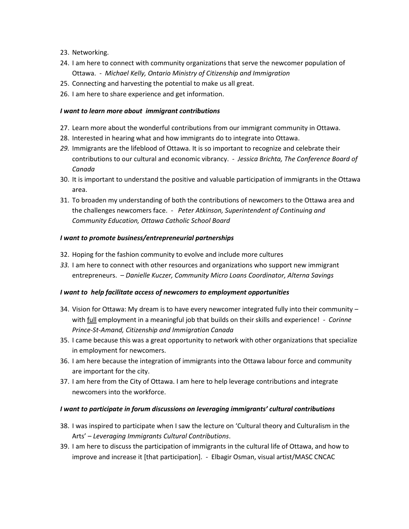- 23. Networking.
- 24. I am here to connect with community organizations that serve the newcomer population of Ottawa. - *Michael Kelly, Ontario Ministry of Citizenship and Immigration*
- 25. Connecting and harvesting the potential to make us all great.
- 26. I am here to share experience and get information.

#### *I want to learn more about immigrant contributions*

- 27. Learn more about the wonderful contributions from our immigrant community in Ottawa.
- 28. Interested in hearing what and how immigrants do to integrate into Ottawa.
- *29.* Immigrants are the lifeblood of Ottawa. It is so important to recognize and celebrate their contributions to our cultural and economic vibrancy. - *Jessica Brichta, The Conference Board of Canada*
- 30. It is important to understand the positive and valuable participation of immigrants in the Ottawa area.
- 31. To broaden my understanding of both the contributions of newcomers to the Ottawa area and the challenges newcomers face. - *Peter Atkinson, Superintendent of Continuing and Community Education, Ottawa Catholic School Board*

#### *I want to promote business/entrepreneurial partnerships*

- 32. Hoping for the fashion community to evolve and include more cultures
- *33.* I am here to connect with other resources and organizations who support new immigrant entrepreneurs. – *Danielle Kuczer, Community Micro Loans Coordinator, Alterna Savings*

#### *I want to help facilitate access of newcomers to employment opportunities*

- 34. Vision for Ottawa: My dream is to have every newcomer integrated fully into their community with full employment in a meaningful job that builds on their skills and experience! - *Corinne Prince-St-Amand, Citizenship and Immigration Canada*
- 35. I came because this was a great opportunity to network with other organizations that specialize in employment for newcomers.
- 36. I am here because the integration of immigrants into the Ottawa labour force and community are important for the city.
- 37. I am here from the City of Ottawa. I am here to help leverage contributions and integrate newcomers into the workforce.

#### *I want to participate in forum discussions on leveraging immigrants' cultural contributions*

- 38. I was inspired to participate when I saw the lecture on 'Cultural theory and Culturalism in the Arts' – *Leveraging Immigrants Cultural Contributions*.
- 39. I am here to discuss the participation of immigrants in the cultural life of Ottawa, and how to improve and increase it [that participation]. - Elbagir Osman, visual artist/MASC CNCAC